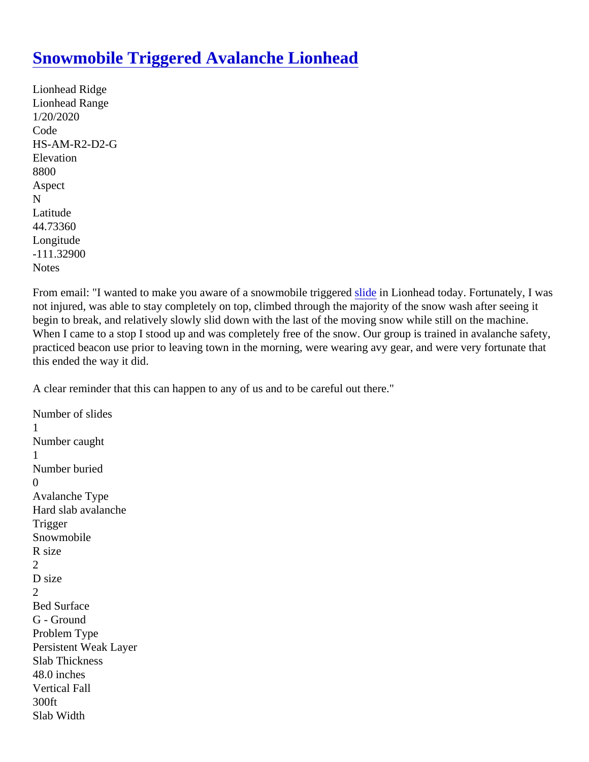## [Snowmobile Triggered Avalanche Lionhead](https://www.mtavalanche.com/node/21706)

Lionhead Ridge Lionhead Range 1/20/2020 Code HS-AM-R2-D2-G **Elevation** 8800 Aspect N Latitude 44.73360 Longitude -111.32900 **Notes** 

From email: "I wanted to make you aware of a snowmobile trig[gered](https://www.mtavalanche.com/taxonomy/term/305) in Lionhead today. Fortunately, I was not injured, was able to stay completely on top, climbed through the majority of the snow wash after seeing it begin to break, and relatively slowly slid down with the last of the moving snow while still on the machine. When I came to a stop I stood up and was completely free of the snow. Our group is trained in avalanche safety practiced beacon use prior to leaving town in the morning, were wearing avy gear, and were very fortunate th this ended the way it did.

A clear reminder that this can happen to any of us and to be careful out there."

Number of slides 1 Number caught 1 Number buried  $\Omega$ Avalanche Type Hard slab avalanche **Trigger Snowmobile** R size 2 D size 2 Bed Surface G - Ground Problem Type Persistent Weak Layer Slab Thickness 48.0 inches Vertical Fall 300ft Slab Width